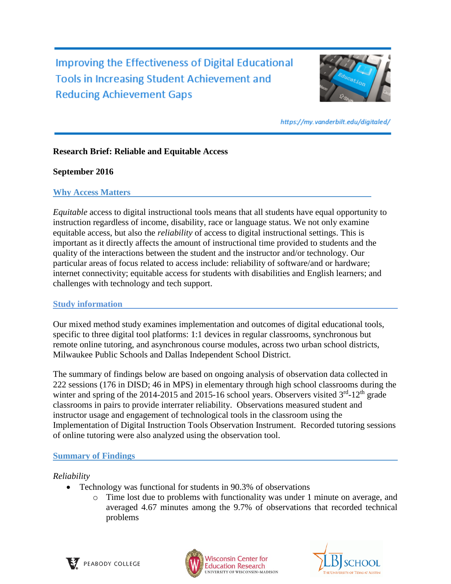Improving the Effectiveness of Digital Educational **Tools in Increasing Student Achievement and Reducing Achievement Gaps** 



https://my.vanderbilt.edu/digitaled/

# **Research Brief: Reliable and Equitable Access**

## **September 2016**

## **Why Access Matters**

*Equitable* access to digital instructional tools means that all students have equal opportunity to instruction regardless of income, disability, race or language status. We not only examine equitable access, but also the *reliability* of access to digital instructional settings. This is important as it directly affects the amount of instructional time provided to students and the quality of the interactions between the student and the instructor and/or technology. Our particular areas of focus related to access include: reliability of software/and or hardware; internet connectivity; equitable access for students with disabilities and English learners; and challenges with technology and tech support.

# **Study information**

Our mixed method study examines implementation and outcomes of digital educational tools, specific to three digital tool platforms: 1:1 devices in regular classrooms, synchronous but remote online tutoring, and asynchronous course modules, across two urban school districts, Milwaukee Public Schools and Dallas Independent School District.

The summary of findings below are based on ongoing analysis of observation data collected in 222 sessions (176 in DISD; 46 in MPS) in elementary through high school classrooms during the winter and spring of the 2014-2015 and 2015-16 school years. Observers visited  $3<sup>rd</sup>$ -12<sup>th</sup> grade classrooms in pairs to provide interrater reliability. Observations measured student and instructor usage and engagement of technological tools in the classroom using the Implementation of Digital Instruction Tools Observation Instrument. Recorded tutoring sessions of online tutoring were also analyzed using the observation tool.

# **Summary of Findings**

# *Reliability*

- Technology was functional for students in 90.3% of observations
	- o Time lost due to problems with functionality was under 1 minute on average, and averaged 4.67 minutes among the 9.7% of observations that recorded technical problems